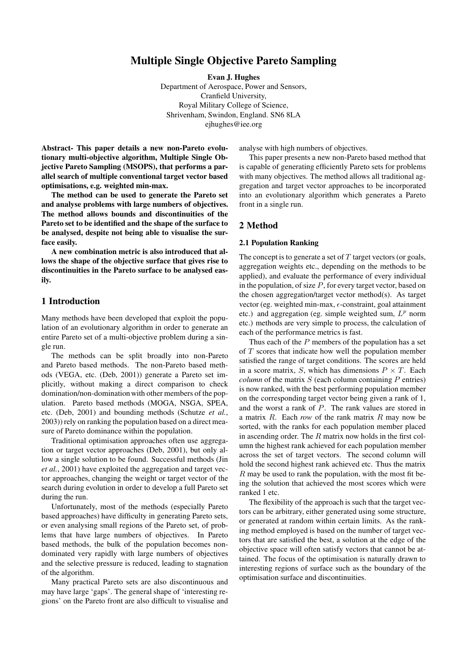# Multiple Single Objective Pareto Sampling

Evan J. Hughes

Department of Aerospace, Power and Sensors, Cranfield University, Royal Military College of Science, Shrivenham, Swindon, England. SN6 8LA ejhughes@iee.org

Abstract- This paper details a new non-Pareto evolutionary multi-objective algorithm, Multiple Single Objective Pareto Sampling (MSOPS), that performs a parallel search of multiple conventional target vector based optimisations, e.g. weighted min-max.

The method can be used to generate the Pareto set and analyse problems with large numbers of objectives. The method allows bounds and discontinuities of the Pareto set to be identified and the shape of the surface to be analysed, despite not being able to visualise the surface easily.

A new combination metric is also introduced that allows the shape of the objective surface that gives rise to discontinuities in the Pareto surface to be analysed easily.

# 1 Introduction

Many methods have been developed that exploit the population of an evolutionary algorithm in order to generate an entire Pareto set of a multi-objective problem during a single run.

The methods can be split broadly into non-Pareto and Pareto based methods. The non-Pareto based methods (VEGA, etc. (Deb, 2001)) generate a Pareto set implicitly, without making a direct comparison to check domination/non-domination with other members of the population. Pareto based methods (MOGA, NSGA, SPEA, etc. (Deb, 2001) and bounding methods (Schutze *et al.*, 2003)) rely on ranking the population based on a direct measure of Pareto dominance within the population.

Traditional optimisation approaches often use aggregation or target vector approaches (Deb, 2001), but only allow a single solution to be found. Successful methods (Jin *et al.*, 2001) have exploited the aggregation and target vector approaches, changing the weight or target vector of the search during evolution in order to develop a full Pareto set during the run.

Unfortunately, most of the methods (especially Pareto based approaches) have difficulty in generating Pareto sets, or even analysing small regions of the Pareto set, of problems that have large numbers of objectives. In Pareto based methods, the bulk of the population becomes nondominated very rapidly with large numbers of objectives and the selective pressure is reduced, leading to stagnation of the algorithm.

Many practical Pareto sets are also discontinuous and may have large 'gaps'. The general shape of 'interesting regions' on the Pareto front are also difficult to visualise and analyse with high numbers of objectives.

This paper presents a new non-Pareto based method that is capable of generating efficiently Pareto sets for problems with many objectives. The method allows all traditional aggregation and target vector approaches to be incorporated into an evolutionary algorithm which generates a Pareto front in a single run.

## 2 Method

#### 2.1 Population Ranking

The concept is to generate a set of  $T$  target vectors (or goals, aggregation weights etc., depending on the methods to be applied), and evaluate the performance of every individual in the population, of size  $P$ , for every target vector, based on the chosen aggregation/target vector method(s). As target vector (eg. weighted min-max,  $\epsilon$ -constraint, goal attainment etc.) and aggregation (eg. simple weighted sum,  $L^p$  norm etc.) methods are very simple to process, the calculation of each of the performance metrics is fast.

Thus each of the  $P$  members of the population has a set of  $T$  scores that indicate how well the population member satisfied the range of target conditions. The scores are held in a score matrix, S, which has dimensions  $P \times T$ . Each *column* of the matrix  $S$  (each column containing  $P$  entries) is now ranked, with the best performing population member on the corresponding target vector being given a rank of 1, and the worst a rank of P. The rank values are stored in a matrix  $R$ . Each *row* of the rank matrix  $R$  may now be sorted, with the ranks for each population member placed in ascending order. The  $R$  matrix now holds in the first column the highest rank achieved for each population member across the set of target vectors. The second column will hold the second highest rank achieved etc. Thus the matrix  $R$  may be used to rank the population, with the most fit being the solution that achieved the most scores which were ranked 1 etc.

The flexibility of the approach is such that the target vectors can be arbitrary, either generated using some structure, or generated at random within certain limits. As the ranking method employed is based on the number of target vectors that are satisfied the best, a solution at the edge of the objective space will often satisfy vectors that cannot be attained. The focus of the optimisation is naturally drawn to interesting regions of surface such as the boundary of the optimisation surface and discontinuities.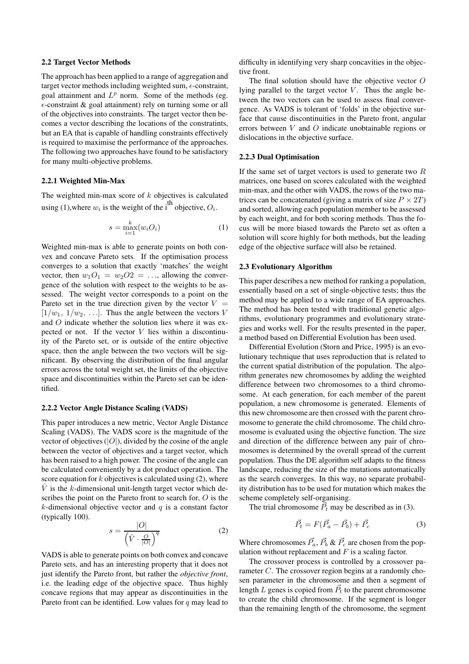## 2.2 Target Vector Methods

The approach has been applied to a range of aggregation and target vector methods including weighted sum,  $\epsilon$ -constraint, goal attainment and  $L^p$  norm. Some of the methods (eg.  $\epsilon$ -constraint & goal attainment) rely on turning some or all of the objectives into constraints. The target vector then becomes a vector describing the locations of the constratints, but an EA that is capable of handling constraints effectively is required to maximise the performance of the approaches. The following two approaches have found to be satisfactory for many multi-objective problems.

### 2.2.1 Weighted Min-Max

The weighted min-max score of  $k$  objectives is calculated using (1), where  $w_i$  is the weight of the i<sup>th</sup> objective,  $O_i$ .

$$
s = \max_{i=1}^{k} (w_i O_i)
$$
 (1)

Weighted min-max is able to generate points on both convex and concave Pareto sets. If the optimisation process converges to a solution that exactly 'matches' the weight vector, then  $w_1O_1 = w_2O2 = \dots$ , allowing the convergence of the solution with respect to the weights to be assessed. The weight vector corresponds to a point on the Pareto set in the true direction given by the vector  $V =$  $[1/w_1, 1/w_2, \ldots]$ . Thus the angle between the vectors V and O indicate whether the solution lies where it was expected or not. If the vector  $V$  lies within a discontinuity of the Pareto set, or is outside of the entire objective space, then the angle between the two vectors will be significant. By observing the distribution of the final angular errors across the total weight set, the limits of the objective space and discontinuities within the Pareto set can be identified.

#### 2.2.2 Vector Angle Distance Scaling (VADS)

This paper introduces a new metric, Vector Angle Distance Scaling (VADS). The VADS score is the magnitude of the vector of objectives  $(|O|)$ , divided by the cosine of the angle between the vector of objectives and a target vector, which has been raised to a high power. The cosine of the angle can be calculated conveniently by a dot product operation. The score equation for  $k$  objectives is calculated using (2), where  $\hat{V}$  is the k-dimensional unit-length target vector which describes the point on the Pareto front to search for, O is the k-dimensional objective vector and  $q$  is a constant factor (typically 100).

$$
s = \frac{|O|}{\left(\hat{V} \cdot \frac{O}{|O|}\right)^q} \tag{2}
$$

VADS is able to generate points on both convex and concave Pareto sets, and has an interesting property that it does not just identify the Pareto front, but rather the *objective front*, i.e. the leading edge of the objective space. Thus highly concave regions that may appear as discontinuities in the Pareto front can be identified. Low values for  $q$  may lead to difficulty in identifying very sharp concavities in the objective front.

The final solution should have the objective vector O lying parallel to the target vector  $V$ . Thus the angle between the two vectors can be used to assess final convergence. As VADS is tolerant of 'folds' in the objective surface that cause discontinuities in the Pareto front, angular errors between V and O indicate unobtainable regions or dislocations in the objective surface.

## 2.2.3 Dual Optimisation

If the same set of target vectors is used to generate two  $R$ matrices, one based on scores calculated with the weighted min-max, and the other with VADS, the rows of the two matrices can be concatenated (giving a matrix of size  $P \times 2T$ ) and sorted, allowing each population member to be assessed by each weight, and for both scoring methods. Thus the focus will be more biased towards the Pareto set as often a solution will score highly for both methods, but the leading edge of the objective surface will also be retained.

### 2.3 Evolutionary Algorithm

This paper describes a new method for ranking a population, essentially based on a set of single-objective tests; thus the method may be applied to a wide range of EA approaches. The method has been tested with traditional genetic algorithms, evolutionary programmes and evolutionary strategies and works well. For the results presented in the paper, a method based on Differential Evolution has been used.

Differential Evolution (Storn and Price, 1995) is an evolutionary technique that uses reproduction that is related to the current spatial distribution of the population. The algorithm generates new chromosomes by adding the weighted difference between two chromosomes to a third chromosome. At each generation, for each member of the parent population, a new chromosome is generated. Elements of this new chromosome are then crossed with the parent chromosome to generate the child chromosome. The child chromosome is evaluated using the objective function. The size and direction of the difference between any pair of chromosomes is determined by the overall spread of the current population. Thus the DE algorithm self adapts to the fitness landscape, reducing the size of the mutations automatically as the search converges. In this way, no separate probability distribution has to be used for mutation which makes the scheme completely self-organising.

The trial chromosome  $\vec{P}_t$  may be described as in (3).

$$
\vec{P}_t = F(\vec{P}_a - \vec{P}_b) + \vec{P}_c \tag{3}
$$

Where chromosomes  $\vec{P_a}$ ,  $\vec{P_b}$  &  $\vec{P_c}$  are chosen from the population without replacement and  $F$  is a scaling factor.

The crossover process is controlled by a crossover parameter C. The crossover region begins at a randomly chosen parameter in the chromosome and then a segment of length L genes is copied from  $\vec{P}_t$  to the parent chromosome to create the child chromosome. If the segment is longer than the remaining length of the chromosome, the segment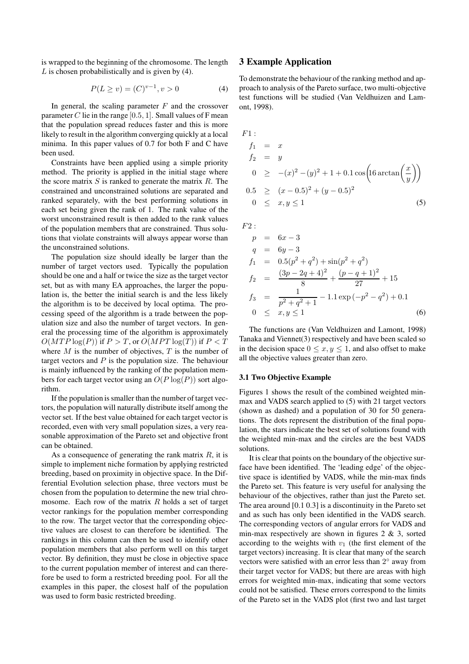is wrapped to the beginning of the chromosome. The length  $L$  is chosen probabilistically and is given by (4).

$$
P(L \ge v) = (C)^{v-1}, v > 0 \tag{4}
$$

In general, the scaling parameter  $F$  and the crossover parameter  $C$  lie in the range [0.5, 1]. Small values of F mean that the population spread reduces faster and this is more likely to result in the algorithm converging quickly at a local minima. In this paper values of 0.7 for both F and C have been used.

Constraints have been applied using a simple priority method. The priority is applied in the initial stage where the score matrix  $S$  is ranked to generate the matrix  $R$ . The constrained and unconstrained solutions are separated and ranked separately, with the best performing solutions in each set being given the rank of 1. The rank value of the worst unconstrained result is then added to the rank values of the population members that are constrained. Thus solutions that violate constraints will always appear worse than the unconstrained solutions.

The population size should ideally be larger than the number of target vectors used. Typically the population should be one and a half or twice the size as the target vector set, but as with many EA approaches, the larger the population is, the better the initial search is and the less likely the algorithm is to be deceived by local optima. The processing speed of the algorithm is a trade between the population size and also the number of target vectors. In general the processing time of the algorithm is approximately  $O(MTP \log(P))$  if  $P > T$ , or  $O(MPT \log(T))$  if  $P < T$ where  $M$  is the number of objectives,  $T$  is the number of target vectors and  $P$  is the population size. The behaviour is mainly influenced by the ranking of the population members for each target vector using an  $O(P \log(P))$  sort algorithm.

If the population is smaller than the number of target vectors, the population will naturally distribute itself among the vector set. If the best value obtained for each target vector is recorded, even with very small population sizes, a very reasonable approximation of the Pareto set and objective front can be obtained.

As a consequence of generating the rank matrix  $R$ , it is simple to implement niche formation by applying restricted breeding, based on proximity in objective space. In the Differential Evolution selection phase, three vectors must be chosen from the population to determine the new trial chromosome. Each row of the matrix  $R$  holds a set of target vector rankings for the population member corresponding to the row. The target vector that the corresponding objective values are closest to can therefore be identified. The rankings in this column can then be used to identify other population members that also perform well on this target vector. By definition, they must be close in objective space to the current population member of interest and can therefore be used to form a restricted breeding pool. For all the examples in this paper, the closest half of the population was used to form basic restricted breeding.

# 3 Example Application

To demonstrate the behaviour of the ranking method and approach to analysis of the Pareto surface, two multi-objective test functions will be studied (Van Veldhuizen and Lamont, 1998).

F1:  
\n
$$
f_1 = x
$$
  
\n $f_2 = y$   
\n $0 \ge -(x)^2 - (y)^2 + 1 + 0.1 \cos\left(16 \arctan\left(\frac{x}{y}\right)\right)$   
\n $0.5 \ge (x - 0.5)^2 + (y - 0.5)^2$   
\n $0 \le x, y \le 1$  (5)

 $F2:$ 

$$
p = 6x - 3
$$
  
\n
$$
q = 6y - 3
$$
  
\n
$$
f_1 = 0.5(p^2 + q^2) + \sin(p^2 + q^2)
$$
  
\n
$$
f_2 = \frac{(3p - 2q + 4)^2}{8} + \frac{(p - q + 1)^2}{27} + 15
$$
  
\n
$$
f_3 = \frac{1}{p^2 + q^2 + 1} - 1.1 \exp(-p^2 - q^2) + 0.1
$$
  
\n
$$
0 \le x, y \le 1
$$
\n(6)

The functions are (Van Veldhuizen and Lamont, 1998) Tanaka and Viennet(3) respectively and have been scaled so in the decision space  $0 \le x, y \le 1$ , and also offset to make all the objective values greater than zero.

## 3.1 Two Objective Example

Figures 1 shows the result of the combined weighted minmax and VADS search applied to (5) with 21 target vectors (shown as dashed) and a population of 30 for 50 generations. The dots represent the distribution of the final population, the stars indicate the best set of solutions found with the weighted min-max and the circles are the best VADS solutions.

It is clear that points on the boundary of the objective surface have been identified. The 'leading edge' of the objective space is identified by VADS, while the min-max finds the Pareto set. This feature is very useful for analysing the behaviour of the objectives, rather than just the Pareto set. The area around [0.1 0.3] is a discontinuity in the Pareto set and as such has only been identified in the VADS search. The corresponding vectors of angular errors for VADS and min-max respectively are shown in figures  $2 \& 3$ , sorted according to the weights with  $v_1$  (the first element of the target vectors) increasing. It is clear that many of the search vectors were satisfied with an error less than  $2^{\circ}$  away from their target vector for VADS; but there are areas with high errors for weighted min-max, indicating that some vectors could not be satisfied. These errors correspond to the limits of the Pareto set in the VADS plot (first two and last target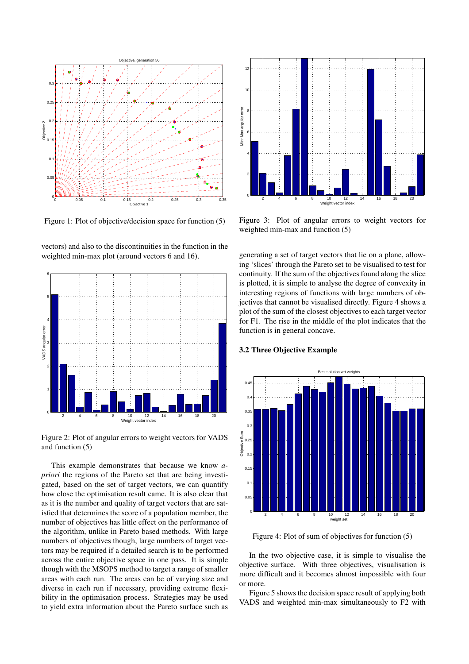

Figure 1: Plot of objective/decision space for function (5)

vectors) and also to the discontinuities in the function in the weighted min-max plot (around vectors 6 and 16).



Figure 2: Plot of angular errors to weight vectors for VADS and function (5)

This example demonstrates that because we know *apriori* the regions of the Pareto set that are being investigated, based on the set of target vectors, we can quantify how close the optimisation result came. It is also clear that as it is the number and quality of target vectors that are satisfied that determines the score of a population member, the number of objectives has little effect on the performance of the algorithm, unlike in Pareto based methods. With large numbers of objectives though, large numbers of target vectors may be required if a detailed search is to be performed across the entire objective space in one pass. It is simple though with the MSOPS method to target a range of smaller areas with each run. The areas can be of varying size and diverse in each run if necessary, providing extreme flexibility in the optimisation process. Strategies may be used to yield extra information about the Pareto surface such as



Figure 3: Plot of angular errors to weight vectors for weighted min-max and function (5)

generating a set of target vectors that lie on a plane, allowing 'slices' through the Pareto set to be visualised to test for continuity. If the sum of the objectives found along the slice is plotted, it is simple to analyse the degree of convexity in interesting regions of functions with large numbers of objectives that cannot be visualised directly. Figure 4 shows a plot of the sum of the closest objectives to each target vector for F1. The rise in the middle of the plot indicates that the function is in general concave.

## 3.2 Three Objective Example



Figure 4: Plot of sum of objectives for function (5)

In the two objective case, it is simple to visualise the objective surface. With three objectives, visualisation is more difficult and it becomes almost impossible with four or more.

Figure 5 shows the decision space result of applying both VADS and weighted min-max simultaneously to F2 with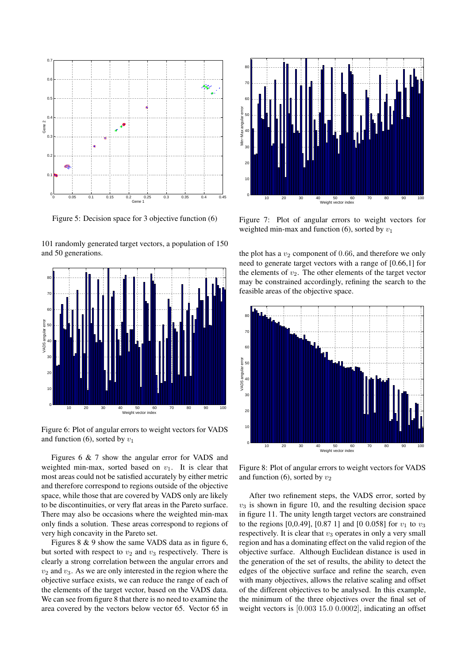

Figure 5: Decision space for 3 objective function (6)

101 randomly generated target vectors, a population of 150 and 50 generations.



Figure 6: Plot of angular errors to weight vectors for VADS and function (6), sorted by  $v_1$ 

Figures 6 & 7 show the angular error for VADS and weighted min-max, sorted based on  $v_1$ . It is clear that most areas could not be satisfied accurately by either metric and therefore correspond to regions outside of the objective space, while those that are covered by VADS only are likely to be discontinuities, or very flat areas in the Pareto surface. There may also be occasions where the weighted min-max only finds a solution. These areas correspond to regions of very high concavity in the Pareto set.

Figures  $8 \& 9$  show the same VADS data as in figure 6, but sorted with respect to  $v_2$  and  $v_3$  respectively. There is clearly a strong correlation between the angular errors and  $v_2$  and  $v_3$ . As we are only interested in the region where the objective surface exists, we can reduce the range of each of the elements of the target vector, based on the VADS data. We can see from figure 8 that there is no need to examine the area covered by the vectors below vector 65. Vector 65 in



Figure 7: Plot of angular errors to weight vectors for weighted min-max and function (6), sorted by  $v_1$ 

the plot has a  $v_2$  component of 0.66, and therefore we only need to generate target vectors with a range of [0.66,1] for the elements of  $v_2$ . The other elements of the target vector may be constrained accordingly, refining the search to the feasible areas of the objective space.



Figure 8: Plot of angular errors to weight vectors for VADS and function (6), sorted by  $v_2$ 

After two refinement steps, the VADS error, sorted by  $v_3$  is shown in figure 10, and the resulting decision space in figure 11. The unity length target vectors are constrained to the regions [0,0.49], [0.87 1] and [0 0.058] for  $v_1$  to  $v_3$ respectively. It is clear that  $v_3$  operates in only a very small region and has a dominating effect on the valid region of the objective surface. Although Euclidean distance is used in the generation of the set of results, the ability to detect the edges of the objective surface and refine the search, even with many objectives, allows the relative scaling and offset of the different objectives to be analysed. In this example, the minimum of the three objectives over the final set of weight vectors is [0.003 15.0 0.0002], indicating an offset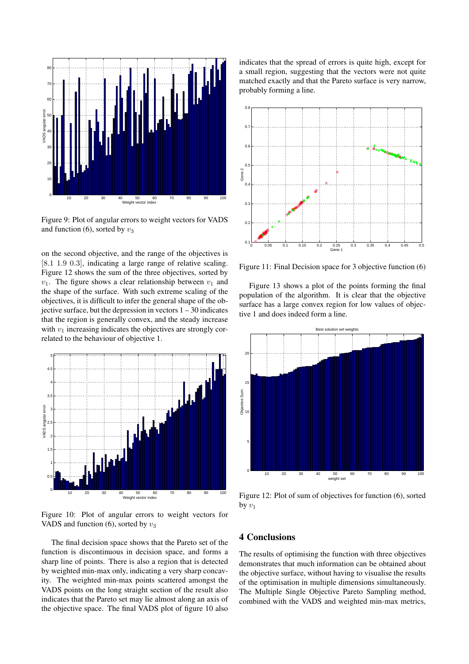

Figure 9: Plot of angular errors to weight vectors for VADS and function (6), sorted by  $v_3$ 

on the second objective, and the range of the objectives is [8.1 1.9 0.3], indicating a large range of relative scaling. Figure 12 shows the sum of the three objectives, sorted by  $v_1$ . The figure shows a clear relationship between  $v_1$  and the shape of the surface. With such extreme scaling of the objectives, it is difficult to infer the general shape of the objective surface, but the depression in vectors  $1 - 30$  indicates that the region is generally convex, and the steady increase with  $v_1$  increasing indicates the objectives are strongly correlated to the behaviour of objective 1.



Figure 10: Plot of angular errors to weight vectors for VADS and function (6), sorted by  $v_3$ 

The final decision space shows that the Pareto set of the function is discontinuous in decision space, and forms a sharp line of points. There is also a region that is detected by weighted min-max only, indicating a very sharp concavity. The weighted min-max points scattered amongst the VADS points on the long straight section of the result also indicates that the Pareto set may lie almost along an axis of the objective space. The final VADS plot of figure 10 also

indicates that the spread of errors is quite high, except for a small region, suggesting that the vectors were not quite matched exactly and that the Pareto surface is very narrow, probably forming a line.



Figure 11: Final Decision space for 3 objective function (6)

Figure 13 shows a plot of the points forming the final population of the algorithm. It is clear that the objective surface has a large convex region for low values of objective 1 and does indeed form a line.



Figure 12: Plot of sum of objectives for function (6), sorted by  $v_1$ 

# 4 Conclusions

The results of optimising the function with three objectives demonstrates that much information can be obtained about the objective surface, without having to visualise the results of the optimisation in multiple dimensions simultaneously. The Multiple Single Objective Pareto Sampling method, combined with the VADS and weighted min-max metrics,